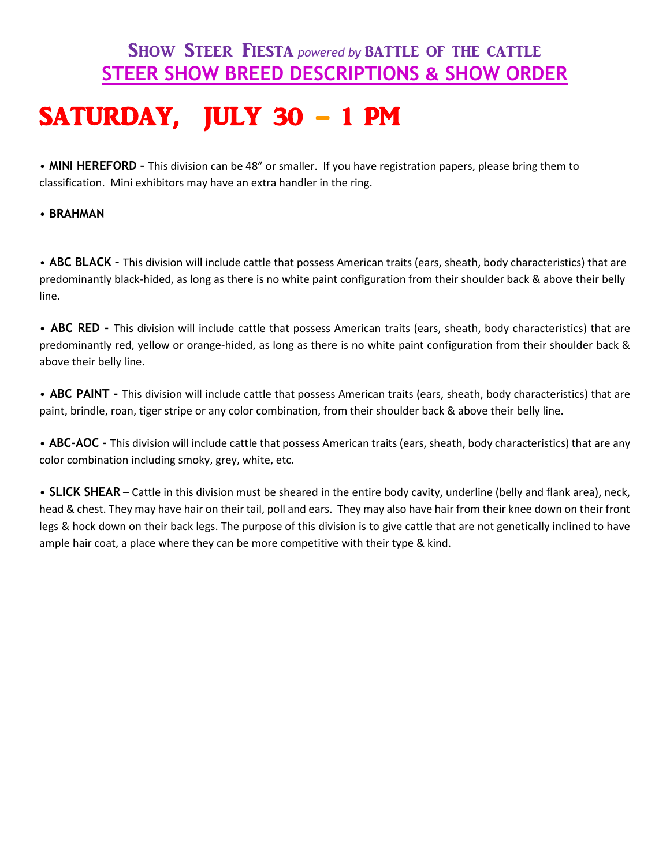## **SHOW STEER FIESTA** *powered by* BATTLE OF THE CATTLE **STEER SHOW BREED DESCRIPTIONS & SHOW ORDER**

## SATURDAY, JULY 30 – 1 PM

• **MINI HEREFORD –** This division can be 48" or smaller. If you have registration papers, please bring them to classification. Mini exhibitors may have an extra handler in the ring.

## • **BRAHMAN**

• **ABC BLACK –** This division will include cattle that possess American traits (ears, sheath, body characteristics) that are predominantly black-hided, as long as there is no white paint configuration from their shoulder back & above their belly line.

• **ABC RED -** This division will include cattle that possess American traits (ears, sheath, body characteristics) that are predominantly red, yellow or orange-hided, as long as there is no white paint configuration from their shoulder back & above their belly line.

• **ABC PAINT -** This division will include cattle that possess American traits (ears, sheath, body characteristics) that are paint, brindle, roan, tiger stripe or any color combination, from their shoulder back & above their belly line.

• **ABC-AOC -** This division will include cattle that possess American traits (ears, sheath, body characteristics) that are any color combination including smoky, grey, white, etc.

• **SLICK SHEAR** – Cattle in this division must be sheared in the entire body cavity, underline (belly and flank area), neck, head & chest. They may have hair on their tail, poll and ears. They may also have hair from their knee down on their front legs & hock down on their back legs. The purpose of this division is to give cattle that are not genetically inclined to have ample hair coat, a place where they can be more competitive with their type & kind.